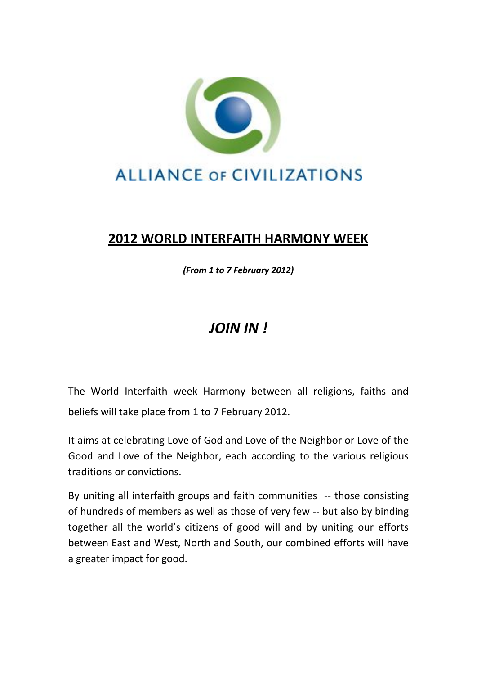

## **2012 WORLD INTERFAITH HARMONY WEEK**

*(From 1 to 7 February 2012)*

## *JOIN IN !*

The World Interfaith week Harmony between all religions, faiths and beliefs will take place from 1 to 7 February 2012.

It aims at celebrating Love of God and Love of the Neighbor or Love of the Good and Love of the Neighbor, each according to the various religious traditions or convictions.

By uniting all interfaith groups and faith communities -- those consisting of hundreds of members as well as those of very few -- but also by binding together all the world's citizens of good will and by uniting our efforts between East and West, North and South, our combined efforts will have a greater impact for good.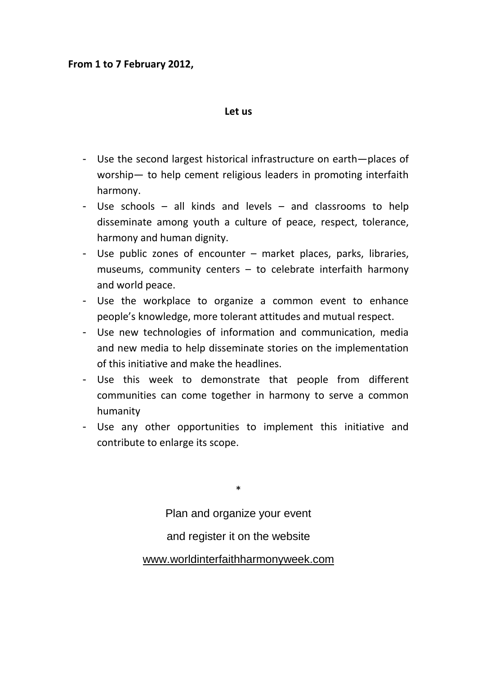## **From 1 to 7 February 2012,**

## **Let us**

- Use the second largest historical infrastructure on earth—places of worship— to help cement religious leaders in promoting interfaith harmony.
- Use schools all kinds and levels and classrooms to help disseminate among youth a culture of peace, respect, tolerance, harmony and human dignity.
- Use public zones of encounter market places, parks, libraries, museums, community centers – to celebrate interfaith harmony and world peace.
- Use the workplace to organize a common event to enhance people's knowledge, more tolerant attitudes and mutual respect.
- Use new technologies of information and communication, media and new media to help disseminate stories on the implementation of this initiative and make the headlines.
- Use this week to demonstrate that people from different communities can come together in harmony to serve a common humanity
- Use any other opportunities to implement this initiative and contribute to enlarge its scope.

\* Plan and organize your event and register it on the website [www.worldinterfaithharmonyweek.com](http://www.worldinterfaithharmonyweek.com/)